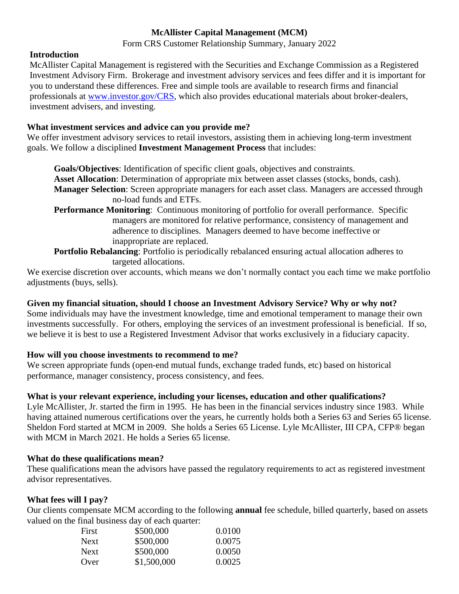## **McAllister Capital Management (MCM)**

Form CRS Customer Relationship Summary, January 2022

#### **Introduction**

McAllister Capital Management is registered with the Securities and Exchange Commission as a Registered Investment Advisory Firm. Brokerage and investment advisory services and fees differ and it is important for you to understand these differences. Free and simple tools are available to research firms and financial professionals at [www.investor.gov/CRS,](http://www.investor.gov/CRS) which also provides educational materials about broker-dealers, investment advisers, and investing.

#### **What investment services and advice can you provide me?**

We offer investment advisory services to retail investors, assisting them in achieving long-term investment goals. We follow a disciplined **Investment Management Process** that includes:

**Goals/Objectives**: Identification of specific client goals, objectives and constraints. **Asset Allocation**: Determination of appropriate mix between asset classes (stocks, bonds, cash). **Manager Selection**: Screen appropriate managers for each asset class. Managers are accessed through no-load funds and ETFs.

- **Performance Monitoring**: Continuous monitoring of portfolio for overall performance. Specific managers are monitored for relative performance, consistency of management and adherence to disciplines. Managers deemed to have become ineffective or inappropriate are replaced.
- **Portfolio Rebalancing**: Portfolio is periodically rebalanced ensuring actual allocation adheres to targeted allocations.

We exercise discretion over accounts, which means we don't normally contact you each time we make portfolio adjustments (buys, sells).

## **Given my financial situation, should I choose an Investment Advisory Service? Why or why not?**

Some individuals may have the investment knowledge, time and emotional temperament to manage their own investments successfully. For others, employing the services of an investment professional is beneficial. If so, we believe it is best to use a Registered Investment Advisor that works exclusively in a fiduciary capacity.

## **How will you choose investments to recommend to me?**

We screen appropriate funds (open-end mutual funds, exchange traded funds, etc) based on historical performance, manager consistency, process consistency, and fees.

## **What is your relevant experience, including your licenses, education and other qualifications?**

Lyle McAllister, Jr. started the firm in 1995. He has been in the financial services industry since 1983. While having attained numerous certifications over the years, he currently holds both a Series 63 and Series 65 license. Sheldon Ford started at MCM in 2009. She holds a Series 65 License. Lyle McAllister, III CPA, CFP® began with MCM in March 2021. He holds a Series 65 license.

#### **What do these qualifications mean?**

These qualifications mean the advisors have passed the regulatory requirements to act as registered investment advisor representatives.

### **What fees will I pay?**

Our clients compensate MCM according to the following **annual** fee schedule, billed quarterly, based on assets valued on the final business day of each quarter:

| First       | \$500,000   | 0.0100 |
|-------------|-------------|--------|
| <b>Next</b> | \$500,000   | 0.0075 |
| <b>Next</b> | \$500,000   | 0.0050 |
| Over        | \$1,500,000 | 0.0025 |